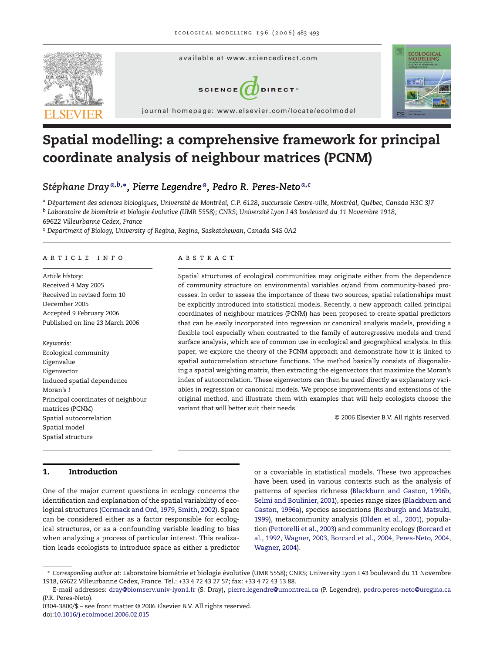

# **Spatial modelling: a comprehensive framework for principal coordinate analysis of neighbour matrices (PCNM)**

# *Stephane Dray ´ <sup>a</sup>***,***b***,∗***, Pierre Legendre a, Pedro R. Peres-Neto <sup>a</sup>***,***<sup>c</sup>*

<sup>a</sup> *Departement des sciences biologiques, Universit ´ e de Montr ´ eal, C.P. 6128, succursale Centre-ville, Montr ´ eal, Qu ´ ebec, Canada H3C 3J7 ´* <sup>b</sup> *Laboratoire de biometrie et biologie ´ evolutive (UMR 5558); CNRS; Universit ´ e Lyon I 43 boulevard du 11 Novembre 1918, ´*

*69622 Villeurbanne Cedex, France*

<sup>c</sup> *Department of Biology, University of Regina, Regina, Saskatchewan, Canada S4S 0A2*

#### article info

*Article history:* Received 4 May 2005 Received in revised form 10 December 2005 Accepted 9 February 2006 Published on line 23 March 2006

*Keywords:* Ecological community Eigenvalue Eigenvector Induced spatial dependence Moran's *I* Principal coordinates of neighbour matrices (PCNM) Spatial autocorrelation Spatial model Spatial structure

#### **ABSTRACT**

Spatial structures of ecological communities may originate either from the dependence of community structure on environmental variables or/and from community-based processes. In order to assess the importance of these two sources, spatial relationships must be explicitly introduced into statistical models. Recently, a new approach called principal coordinates of neighbour matrices (PCNM) has been proposed to create spatial predictors that can be easily incorporated into regression or canonical analysis models, providing a flexible tool especially when contrasted to the family of autoregressive models and trend surface analysis, which are of common use in ecological and geographical analysis. In this paper, we explore the theory of the PCNM approach and demonstrate how it is linked to spatial autocorrelation structure functions. The method basically consists of diagonalizing a spatial weighting matrix, then extracting the eigenvectors that maximize the Moran's index of autocorrelation. These eigenvectors can then be used directly as explanatory variables in regression or canonical models. We propose improvements and extensions of the original method, and illustrate them with examples that will help ecologists choose the variant that will better suit their needs.

© 2006 Elsevier B.V. All rights reserved.

#### **1. Introduction**

One of the major current questions in ecology concerns the identification and explanation of the spatial variability of ecological structures [\(Cormack and Ord, 1979,](#page-9-0) [Smith, 2002\).](#page-10-0) Space can be considered either as a factor responsible for ecological structures, or as a confounding variable leading to bias when analyzing a process of particular interest. This realization leads ecologists to introduce space as either a predictor

or a covariable in statistical models. These two approaches have been used in various contexts such as the analysis of patterns of species richness [\(Blackburn and Gaston, 1996b,](#page-9-0) [Selmi and Boulinier, 2001\),](#page-10-0) species range sizes ([Blackburn and](#page-9-0) [Gaston, 1996a\),](#page-9-0) species associations [\(Roxburgh and Matsuki,](#page-10-0) [1999\),](#page-10-0) metacommunity analysis ([Olden et al., 2001\),](#page-10-0) population [\(Pettorelli et al., 2003\) a](#page-10-0)nd community ecology ([Borcard et](#page-9-0) [al., 1992,](#page-9-0) [Wagner, 2003,](#page-10-0) [Borcard et al., 2004,](#page-9-0) [Peres-Neto, 2004,](#page-10-0) [Wagner, 2004\).](#page-10-0)

<sup>∗</sup> *Corresponding author at*: Laboratoire biometrie et biologie ´ evolutive (UMR 5558); CNRS; University Lyon I 43 boulevard du 11 Novembre ´ 1918, 69622 Villeurbanne Cedex, France. Tel.: +33 4 72 43 27 57; fax: +33 4 72 43 13 88.

E-mail addresses: [dray@biomserv.univ-lyon1.fr](mailto:dray@biomserv.univ-lyon1.fr) (S. Dray), [pierre.legendre@umontreal.ca](mailto:pierre.legendre@umontreal.ca) (P. Legendre), [pedro.peres-neto@uregina.ca](mailto:pedro.peres-neto@uregina.ca) (P.R. Peres-Neto).

<sup>0304-3800/\$ –</sup> see front matter © 2006 Elsevier B.V. All rights reserved. doi:[10.1016/j.ecolmodel.2006.02.015](dx.doi.org/10.1016/j.ecolmodel.2006.02.015)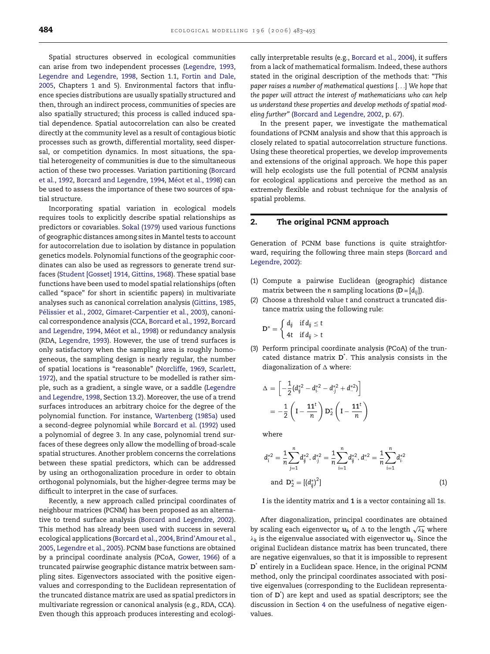<span id="page-1-0"></span>Spatial structures observed in ecological communities can arise from two independent processes [\(Legendre, 1993,](#page-10-0) [Legendre and Legendre, 1998,](#page-10-0) Section 1.1, [Fortin and Dale,](#page-9-0) [2005,](#page-9-0) Chapters 1 and 5). Environmental factors that influence species distributions are usually spatially structured and then, through an indirect process, communities of species are also spatially structured; this process is called induced spatial dependence. Spatial autocorrelation can also be created directly at the community level as a result of contagious biotic processes such as growth, differential mortality, seed dispersal, or competition dynamics. In most situations, the spatial heterogeneity of communities is due to the simultaneous action of these two processes. Variation partitioning ([Borcard](#page-9-0) [et al., 1992,](#page-9-0) [Borcard and Legendre, 1994,](#page-9-0) Méot et al., 1998) can be used to assess the importance of these two sources of spatial structure.

Incorporating spatial variation in ecological models requires tools to explicitly describe spatial relationships as predictors or covariables. [Sokal \(1979\)](#page-10-0) used various functions of geographic distances among sites in Mantel tests to account for autocorrelation due to isolation by distance in population genetics models. Polynomial functions of the geographic coordinates can also be used as regressors to generate trend surfaces ([Student \[Gosset\] 1914,](#page-10-0) [Gittins, 1968\).](#page-9-0) These spatial base functions have been used to model spatial relationships (often called "space" for short in scientific papers) in multivariate analyses such as canonical correlation analysis ([Gittins, 1985,](#page-9-0) Pélissier et al., 2002, [Gimaret-Carpentier et al., 2003\),](#page-9-0) canonical correspondence analysis (CCA, [Borcard et al., 1992,](#page-9-0) [Borcard](#page-9-0) [and Legendre, 1994,](#page-9-0) Méot et al., 1998) or redundancy analysis (RDA, [Legendre, 1993\).](#page-10-0) However, the use of trend surfaces is only satisfactory when the sampling area is roughly homogeneous, the sampling design is nearly regular, the number of spatial locations is "reasonable" ([Norcliffe, 1969,](#page-10-0) [Scarlett,](#page-10-0) [1972\),](#page-10-0) and the spatial structure to be modelled is rather simple, such as a gradient, a single wave, or a saddle ([Legendre](#page-10-0) [and Legendre, 1998, S](#page-10-0)ection 13.2). Moreover, the use of a trend surfaces introduces an arbitrary choice for the degree of the polynomial function. For instance, [Wartenberg \(1985a\)](#page-10-0) used a second-degree polynomial while [Borcard et al. \(1992\)](#page-9-0) used a polynomial of degree 3. In any case, polynomial trend surfaces of these degrees only allow the modelling of broad-scale spatial structures. Another problem concerns the correlations between these spatial predictors, which can be addressed by using an orthogonalization procedure in order to obtain orthogonal polynomials, but the higher-degree terms may be difficult to interpret in the case of surfaces.

Recently, a new approach called principal coordinates of neighbour matrices (PCNM) has been proposed as an alternative to trend surface analysis [\(Borcard and Legendre, 2002\).](#page-9-0) This method has already been used with success in several ecological applications [\(Borcard et al., 2004,](#page-9-0) [Brind'Amour et al.,](#page-9-0) [2005,](#page-9-0) [Legendre et al., 2005\).](#page-10-0) PCNM base functions are obtained by a principal coordinate analysis (PCoA, [Gower, 1966\)](#page-9-0) of a truncated pairwise geographic distance matrix between sampling sites. Eigenvectors associated with the positive eigenvalues and corresponding to the Euclidean representation of the truncated distance matrix are used as spatial predictors in multivariate regression or canonical analysis (e.g., RDA, CCA). Even though this approach produces interesting and ecologically interpretable results (e.g., [Borcard et al., 2004\),](#page-9-0) it suffers from a lack of mathematical formalism. Indeed, these authors stated in the original description of the methods that: "*This paper raises a number of mathematical questions* [...] *We hope that the paper will attract the interest of mathematicians who can help us understand these properties and develop methods of spatial modeling further"* ([Borcard and Legendre, 2002, p](#page-9-0). 67).

In the present paper, we investigate the mathematical foundations of PCNM analysis and show that this approach is closely related to spatial autocorrelation structure functions. Using these theoretical properties, we develop improvements and extensions of the original approach. We hope this paper will help ecologists use the full potential of PCNM analysis for ecological applications and perceive the method as an extremely flexible and robust technique for the analysis of spatial problems.

### **2. The original PCNM approach**

Generation of PCNM base functions is quite straightforward, requiring the following three main steps ([Borcard and](#page-9-0) [Legendre, 2002\):](#page-9-0)

- (1) Compute a pairwise Euclidean (geographic) distance matrix between the *n* sampling locations  $(D = [d_{ii}])$ .
- (2) Choose a threshold value *t* and construct a truncated distance matrix using the following rule:

$$
\mathbf{D}^* = \begin{cases} d_{ij} & \text{if } d_{ij} \leq t \\ 4t & \text{if } d_{ij} > t \end{cases}
$$

(3) Perform principal coordinate analysis (PCoA) of the truncated distance matrix **D**\* . This analysis consists in the diagonalization of  $\Delta$  where:

$$
\Delta = \left[ -\frac{1}{2} (d_{ij}^{*2} - d_{i}^{*2} - d_{j}^{*2} + d_{j}^{*2}) \right]
$$
  
=  $-\frac{1}{2} \left( I - \frac{11^{t}}{n} \right) D_{2}^{*} \left( I - \frac{11^{t}}{n} \right)$ 

where

$$
d_i^{*2} = \frac{1}{n} \sum_{j=1}^n d_{ij}^{*2}, d_{j}^{*2} = \frac{1}{n} \sum_{i=1}^n d_{ij}^{*2}, d_{..}^{*2} = \frac{1}{n} \sum_{i=1}^n d_{i}^{*2}
$$
  
and 
$$
D_2^* = [ (d_{ij}^*)^2 ]
$$
 (1)

**I** is the identity matrix and **1** is a vector containing all 1s.

After diagonalization, principal coordinates are obtained by scaling each eigenvector  $\textbf{u}_k$  of  $\Delta$  to the length  $\sqrt{\lambda_k}$  where  $\lambda_k$  is the eigenvalue associated with eigenvector  $\mathbf{u}_k$ . Since the original Euclidean distance matrix has been truncated, there are negative eigenvalues, so that it is impossible to represent **D**\* entirely in a Euclidean space. Hence, in the original PCNM method, only the principal coordinates associated with positive eigenvalues (corresponding to the Euclidean representation of **D**\* ) are kept and used as spatial descriptors; see the discussion in Section [4](#page-2-0) on the usefulness of negative eigenvalues.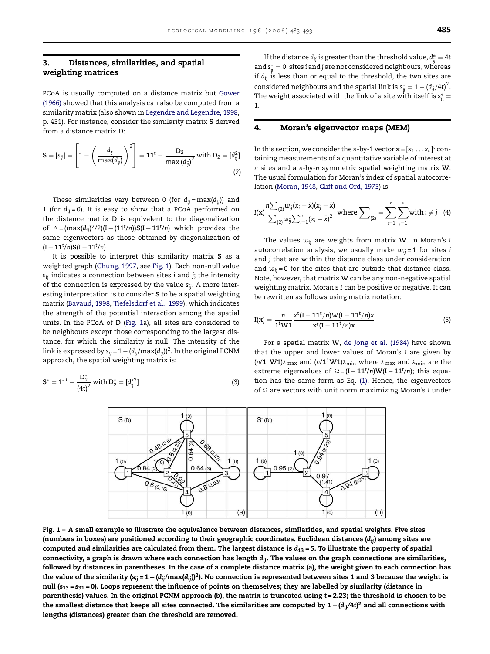#### <span id="page-2-0"></span>**3. Distances, similarities, and spatial weighting matrices**

PCoA is usually computed on a distance matrix but [Gower](#page-9-0) [\(1966\)](#page-9-0) showed that this analysis can also be computed from a similarity matrix (also shown in [Legendre and Legendre, 1998,](#page-10-0) p. 431). For instance, consider the similarity matrix **S** derived from a distance matrix **D**:

$$
\mathbf{S} = [s_{ij}] = \left[1 - \left(\frac{d_{ij}}{\max(d_{ij})}\right)^2\right] = \mathbf{1}\mathbf{1}^t - \frac{\mathbf{D}_2}{\max(d_{ij})^2} \text{ with } \mathbf{D}_2 = [d_{ij}^2]
$$
\n(2)

These similarities vary between 0 (for  $d_{ii} = max(d_{ii})$ ) and 1 (for  $d_{ii} = 0$ ). It is easy to show that a PCoA performed on the distance matrix **D** is equivalent to the diagonalization of ∆= $(max(d_{ij})^2/2)(I – (11<sup>t</sup>/n))S(I – 11<sup>t</sup>/n)$  which provides the same eigenvectors as those obtained by diagonalization of (**<sup>I</sup>** <sup>−</sup> **<sup>11</sup>***<sup>t</sup>* /*n*)**S**(**<sup>I</sup>** <sup>−</sup> <sup>11</sup>*<sup>t</sup>* /*n*).

It is possible to interpret this similarity matrix **S** as a weighted graph ([Chung, 1997, s](#page-9-0)ee Fig. 1). Each non-null value *sij* indicates a connection between sites *i* and *j*; the intensity of the connection is expressed by the value *sij*. A more interesting interpretation is to consider **S** to be a spatial weighting matrix ([Bavaud, 1998,](#page-9-0) [Tiefelsdorf et al., 1999\),](#page-10-0) which indicates the strength of the potential interaction among the spatial units. In the PCoA of **D** (Fig. 1a), all sites are considered to be neighbours except those corresponding to the largest distance, for which the similarity is null. The intensity of the link is expressed by  $s_{ii} = 1 - (d_{ii}/max(d_{ii}))^2$ . In the original PCNM approach, the spatial weighting matrix is:

$$
S^* = 11^t - \frac{D_2^*}{(4t)^2} \text{ with } D_2^* = [d_{ij}^{*2}]
$$
 (3)

If the distance  $d_{ij}$  is greater than the threshold value,  $d_{ij}^* = 4t$ and s<sup>∗</sup> ij = 0, sites *i* and *j* are not considered neighbours, whereas if *dij* is less than or equal to the threshold, the two sites are considered neighbours and the spatial link is  $\mathrm{s}^*_{\mathrm{ij}}=1-\left(d_{\mathrm{ij}}/4\mathrm{t}\right)^2$ . The weight associated with the link of a site with itself is  $\mathrm{s}^*_{\mathrm{ii}}=$ 1.

#### **4. Moran's eigenvector maps (MEM)**

In this section, we consider the *n*-by-1 vector  $\mathbf{x} = [x_1 \dots x_n]^t$  containing measurements of a quantitative variable of interest at *n* sites and a *n*-by-*n* symmetric spatial weighting matrix **W**. The usual formulation for Moran's index of spatial autocorrelation [\(Moran, 1948,](#page-10-0) [Cliff and Ord, 1973\)](#page-9-0) is:

$$
I(\mathbf{x}) \frac{n \sum_{(2)} w_{ij}(x_i - \bar{x})(x_j - \bar{x})}{\sum_{(2)} w_{ij} \sum_{i=1}^n (x_i - \bar{x})^2}
$$
 where  $\sum_{(2)} = \sum_{i=1}^n \sum_{j=1}^n$  with  $i \neq j$  (4)

The values *wij* are weights from matrix **W**. In Moran's *I* autocorrelation analysis, we usually make  $w_{ii} = 1$  for sites *i* and *j* that are within the distance class under consideration and  $w_{ii} = 0$  for the sites that are outside that distance class. Note, however, that matrix **W** can be any non-negative spatial weighting matrix. Moran's *I* can be positive or negative. It can be rewritten as follows using matrix notation:

$$
I(x) = \frac{n}{1^t W 1} \frac{x^t (I - 11^t/n) W (I - 11^t/n) x}{x^t (I - 11^t/n) x}
$$
(5)

For a spatial matrix **W**, [de Jong et al. \(1984\)](#page-9-0) have shown that the upper and lower values of Moran's *I* are given by  $(n/1^t \text{ W1})\lambda_{\text{max}}$  and  $(n/1^t \text{ W1})\lambda_{\text{min}}$  where  $\lambda_{\text{max}}$  and  $\lambda_{\text{min}}$  are the extreme eigenvalues of  $\Omega = (\mathbf{I} - \mathbf{1}\mathbf{1}^t/n)\mathbf{W}(\mathbf{I} - \mathbf{1}\mathbf{1}^t/n);$  this equation has the same form as Eq. [\(1\).](#page-1-0) Hence, the eigenvectors of are vectors with unit norm maximizing Moran's *I* under



**Fig. 1 – A small example to illustrate the equivalence between distances, similarities, and spatial weights. Five sites (numbers in boxes) are positioned according to their geographic coordinates. Euclidean distances (***dij***) among sites are computed and similarities are calculated from them. The largest distance is** *d***<sup>13</sup> = 5. To illustrate the property of spatial connectivity, a graph is drawn where each connection has length** *dij***. The values on the graph connections are similarities, followed by distances in parentheses. In the case of a complete distance matrix (a), the weight given to each connection has the value of the similarity**  $(s_{ii} = 1 - (d_{ii}/max(d_{ii}))^2)$ **. No connection is represented between sites 1 and 3 because the weight is null (***s***<sup>13</sup> =** *s***<sup>31</sup> = 0). Loops represent the influence of points on themselves; they are labelled by similarity (distance in parenthesis) values. In the original PCNM approach (b), the matrix is truncated using** *t* **= 2.23; the threshold is chosen to be the smallest distance that keeps all sites connected. The similarities are computed by 1 − (***dij/***4***t***) <sup>2</sup> and all connections with lengths (distances) greater than the threshold are removed.**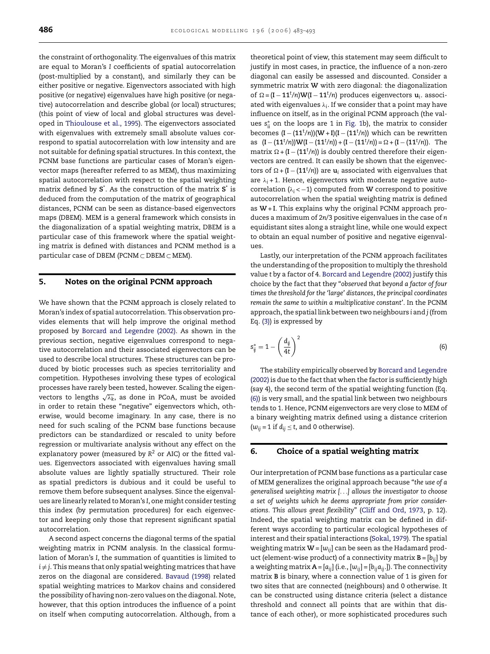the constraint of orthogonality. The eigenvalues of this matrix are equal to Moran's *I* coefficients of spatial autocorrelation (post-multiplied by a constant), and similarly they can be either positive or negative. Eigenvectors associated with high positive (or negative) eigenvalues have high positive (or negative) autocorrelation and describe global (or local) structures; (this point of view of local and global structures was developed in [Thioulouse et al., 1995\).](#page-10-0) The eigenvectors associated with eigenvalues with extremely small absolute values correspond to spatial autocorrelation with low intensity and are not suitable for defining spatial structures. In this context, the PCNM base functions are particular cases of Moran's eigenvector maps (hereafter referred to as MEM), thus maximizing spatial autocorrelation with respect to the spatial weighting matrix defined by **S**\* . As the construction of the matrix **S**\* is deduced from the computation of the matrix of geographical distances, PCNM can be seen as distance-based eigenvectors maps (DBEM). MEM is a general framework which consists in the diagonalization of a spatial weighting matrix, DBEM is a particular case of this framework where the spatial weighting matrix is defined with distances and PCNM method is a particular case of DBEM (PCNM ⊂ DBEM ⊂ MEM).

# **5. Notes on the original PCNM approach**

We have shown that the PCNM approach is closely related to Moran's index of spatial autocorrelation. This observation provides elements that will help improve the original method proposed by [Borcard and Legendre \(2002\).](#page-9-0) As shown in the previous section, negative eigenvalues correspond to negative autocorrelation and their associated eigenvectors can be used to describe local structures. These structures can be produced by biotic processes such as species territoriality and competition. Hypotheses involving these types of ecological processes have rarely been tested, however. Scaling the eigenvectors to lengths  $\sqrt{\lambda_k}$ , as done in PCoA, must be avoided in order to retain these "negative" eigenvectors which, otherwise, would become imaginary. In any case, there is no need for such scaling of the PCNM base functions because predictors can be standardized or rescaled to unity before regression or multivariate analysis without any effect on the explanatory power (measured by  $R^2$  or AIC) or the fitted values. Eigenvectors associated with eigenvalues having small absolute values are lightly spatially structured. Their role as spatial predictors is dubious and it could be useful to remove them before subsequent analyses. Since the eigenvalues are linearly related to Moran's *I*, one might consider testing this index (by permutation procedures) for each eigenvector and keeping only those that represent significant spatial autocorrelation.

A second aspect concerns the diagonal terms of the spatial weighting matrix in PCNM analysis. In the classical formulation of Moran's *I*, the summation of quantities is limited to  $i \neq j$ . This means that only spatial weighting matrices that have zeros on the diagonal are considered. [Bavaud \(1998\)](#page-9-0) related spatial weighting matrices to Markov chains and considered the possibility of having non-zero values on the diagonal. Note, however, that this option introduces the influence of a point on itself when computing autocorrelation. Although, from a theoretical point of view, this statement may seem difficult to justify in most cases, in practice, the influence of a non-zero diagonal can easily be assessed and discounted. Consider a symmetric matrix **W** with zero diagonal: the diagonalization of = (**<sup>I</sup>** <sup>−</sup> **<sup>11</sup>***<sup>t</sup>* /*n*)**W**(**<sup>I</sup>** <sup>−</sup> **<sup>11</sup>***<sup>t</sup>* /*n*) produces eigenvectors **u***i*. associated with eigenvalues  $\lambda_i$ . If we consider that a point may have influence on itself, as in the original PCNM approach (the values  $s_{ii}^*$  on the loops are 1 in [Fig. 1b](#page-2-0)), the matrix to consider becomes (**<sup>I</sup>** <sup>−</sup> (**11**<sup>t</sup> /*n*))(**W**<sup>+</sup> **<sup>I</sup>**)(**<sup>I</sup>** <sup>−</sup> (**11***<sup>t</sup>* /*n*)) which can be rewritten as  $(I - (11^t/n))W(I - (11^t/n)) + (I - (11^t/n)) = \Omega + (I - (11^t/n)).$  The matrix  $\Omega + (\mathbf{I} - (11^t/n))$  is doubly centred therefore their eigenvectors are centred. It can easily be shown that the eigenvectors of  $\Omega + (\mathbf{I} - (11^t/n))$  are  $\mathbf{u}_i$  associated with eigenvalues that are  $\lambda_i$  + 1. Hence, eigenvectors with moderate negative autocorrelation ( $\lambda_i$ < $-1$ ) computed from W correspond to positive autocorrelation when the spatial weighting matrix is defined as **W**+ **I**. This explains why the original PCNM approach produces a maximum of 2*n*/3 positive eigenvalues in the case of *n* equidistant sites along a straight line, while one would expect to obtain an equal number of positive and negative eigenvalues.

Lastly, our interpretation of the PCNM approach facilitates the understanding of the proposition to multiply the threshold value *t* by a factor of 4. [Borcard and Legendre \(2002\)](#page-9-0) justify this choice by the fact that they "*observed that beyond a factor of four times the threshold for the 'large' distances*, *the principal coordinates remain the same to within a multiplicative constant'*. In the PCNM approach, the spatial link between two neighbours *i* and *j* (from Eq. [\(3\)\) i](#page-2-0)s expressed by

$$
s_{ij}^* = 1 - \left(\frac{d_{ij}}{4t}\right)^2 \tag{6}
$$

The stability empirically observed by [Borcard and Legendre](#page-9-0) [\(2002\)](#page-9-0) is due to the fact that when the factor is sufficiently high (say 4), the second term of the spatial weighting function (Eq. (6)) is very small, and the spatial link between two neighbours tends to 1. Hence, PCNM eigenvectors are very close to MEM of a binary weighting matrix defined using a distance criterion  $(w_{ij} = 1 \text{ if } d_{ij} \leq t$ , and 0 otherwise).

#### **6. Choice of a spatial weighting matrix**

Our interpretation of PCNM base functions as a particular case of MEM generalizes the original approach because "*the use of a generalised weighting matrix [*...*] allows the investigator to choose a set of weights which he deems appropriate from prior considerations. This allows great flexibility*" ([Cliff and Ord, 1973,](#page-9-0) p. 12). Indeed, the spatial weighting matrix can be defined in different ways according to particular ecological hypotheses of interest and their spatial interactions ([Sokal, 1979\).](#page-10-0) The spatial weighting matrix  $W = [w_{ij}]$  can be seen as the Hadamard product (element-wise product) of a connectivity matrix **B** = [*bij*] by a weighting matrix  $A = [a_{ij}]$  (i.e.,  $[w_{ij}] = [b_{ij}a_{ij}]$ ). The connectivity matrix **B** is binary, where a connection value of 1 is given for two sites that are connected (neighbours) and 0 otherwise. It can be constructed using distance criteria (select a distance threshold and connect all points that are within that distance of each other), or more sophisticated procedures such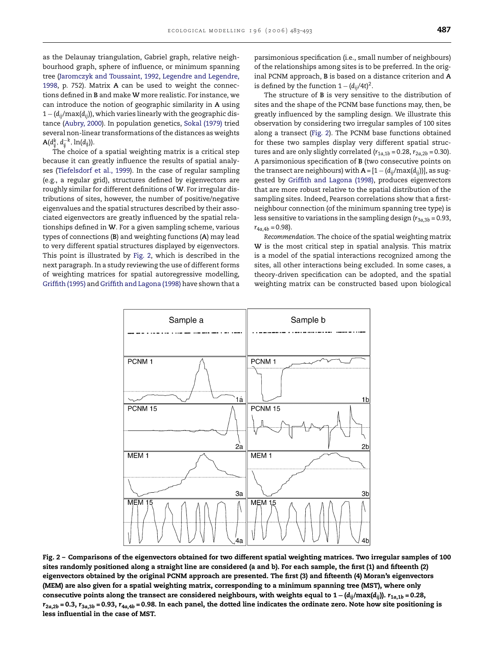as the Delaunay triangulation, Gabriel graph, relative neighbourhood graph, sphere of influence, or minimum spanning tree [\(Jaromczyk and Toussaint, 1992,](#page-10-0) [Legendre and Legendre,](#page-10-0) [1998,](#page-10-0) p. 752). Matrix **A** can be used to weight the connections defined in **B** and make **W** more realistic. For instance, we can introduce the notion of geographic similarity in **A** using 1 − (*dij*/max(*dij*)), which varies linearly with the geographic distance ([Aubry, 2000\).](#page-9-0) In population genetics, [Sokal \(1979\)](#page-10-0) tried several non-linear transformations of the distances as weights  $\mathbf{A}(d_{ij}^k, d_{ij}^{-k}, \ln(d_{ij}))$ .

The choice of a spatial weighting matrix is a critical step because it can greatly influence the results of spatial analyses [\(Tiefelsdorf et al., 1999\).](#page-10-0) In the case of regular sampling (e.g., a regular grid), structures defined by eigenvectors are roughly similar for different definitions of **W**. For irregular distributions of sites, however, the number of positive/negative eigenvalues and the spatial structures described by their associated eigenvectors are greatly influenced by the spatial relationships defined in **W**. For a given sampling scheme, various types of connections (**B**) and weighting functions (**A**) may lead to very different spatial structures displayed by eigenvectors. This point is illustrated by Fig. 2, which is described in the next paragraph. In a study reviewing the use of different forms of weighting matrices for spatial autoregressive modelling, [Griffith \(1995\)](#page-9-0) and [Griffith and Lagona \(1998\)](#page-9-0) have shown that a parsimonious specification (i.e., small number of neighbours) of the relationships among sites is to be preferred. In the original PCNM approach, **B** is based on a distance criterion and **A** is defined by the function  $1 - (d_{ij}/4t)^2$ .

The structure of **B** is very sensitive to the distribution of sites and the shape of the PCNM base functions may, then, be greatly influenced by the sampling design. We illustrate this observation by considering two irregular samples of 100 sites along a transect (Fig. 2). The PCNM base functions obtained for these two samples display very different spatial structures and are only slightly correlated ( $r_{1a,1b} = 0.28$ ,  $r_{2a,2b} = 0.30$ ). A parsimonious specification of **B** (two consecutive points on the transect are neighbours) with  $A = [1 - (d_{ij}/max(d_{ij}))]$ , as suggested by [Griffith and Lagona \(1998\),](#page-9-0) produces eigenvectors that are more robust relative to the spatial distribution of the sampling sites. Indeed, Pearson correlations show that a firstneighbour connection (of the minimum spanning tree type) is less sensitive to variations in the sampling design  $(r_{3a,3b} = 0.93,$  $r_{4a,4b} = 0.98$ ).

*Recommendation*. The choice of the spatial weighting matrix **W** is the most critical step in spatial analysis. This matrix is a model of the spatial interactions recognized among the sites, all other interactions being excluded. In some cases, a theory-driven specification can be adopted, and the spatial weighting matrix can be constructed based upon biological



**Fig. 2 – Comparisons of the eigenvectors obtained for two different spatial weighting matrices. Two irregular samples of 100 sites randomly positioned along a straight line are considered (a and b). For each sample, the first (1) and fifteenth (2) eigenvectors obtained by the original PCNM approach are presented. The first (3) and fifteenth (4) Moran's eigenvectors (MEM) are also given for a spatial weighting matrix, corresponding to a minimum spanning tree (MST), where only** consecutive points along the transect are considered neighbours, with weights equal to  $1 - (d_{ii}/\text{max}(d_{ii}))$ .  $r_{1a,1b} = 0.28$ ,  $r_{2a,2b}$  = 0.3,  $r_{3a,3b}$  = 0.93,  $r_{4a,4b}$  = 0.98. In each panel, the dotted line indicates the ordinate zero. Note how site positioning is **less influential in the case of MST.**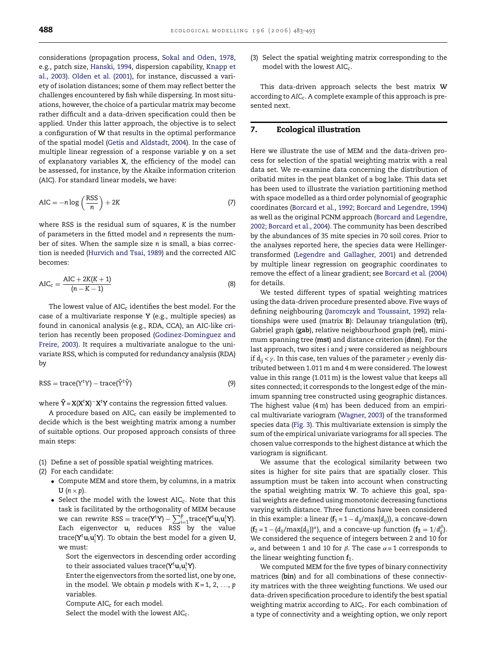considerations (propagation process, [Sokal and Oden, 1978,](#page-10-0) e.g., patch size, [Hanski, 1994, d](#page-10-0)ispersion capability, [Knapp et](#page-10-0) [al., 2003\).](#page-10-0) [Olden et al. \(2001\),](#page-10-0) for instance, discussed a variety of isolation distances; some of them may reflect better the challenges encountered by fish while dispersing. In most situations, however, the choice of a particular matrix may become rather difficult and a data-driven specification could then be applied. Under this latter approach, the objective is to select a configuration of **W** that results in the optimal performance of the spatial model [\(Getis and Aldstadt, 2004\).](#page-9-0) In the case of multiple linear regression of a response variable **y** on a set of explanatory variables **X**, the efficiency of the model can be assessed, for instance, by the Akaike information criterion (AIC). For standard linear models, we have:

$$
AIC = -n \log \left(\frac{RSS}{n}\right) + 2K\tag{7}
$$

where RSS is the residual sum of squares, *K* is the number of parameters in the fitted model and *n* represents the number of sites. When the sample size *n* is small, a bias correction is needed [\(Hurvich and Tsai, 1989\) a](#page-10-0)nd the corrected AIC becomes:

$$
AIC_{c} = \frac{AIC + 2K(K + 1)}{(n - K - 1)}
$$
(8)

The lowest value of  $AIC_c$  identifies the best model. For the case of a multivariate response **Y** (e.g., multiple species) as found in canonical analysis (e.g., RDA, CCA), an AIC-like criterion has recently been proposed ([Godinez-Dominguez and](#page-9-0) [Freire, 2003\).](#page-9-0) It requires a multivariate analogue to the univariate RSS, which is computed for redundancy analysis (RDA) by

$$
RSS = trace(YtY) - trace(\hat{Y}t\hat{Y})
$$
\n(9)

where **Yˆ** = **X**(**X***<sup>t</sup>* **X**) <sup>−</sup>**X***<sup>t</sup>* **Y** contains the regression fitted values.

A procedure based on  $AIC<sub>c</sub>$  can easily be implemented to decide which is the best weighting matrix among a number of suitable options. Our proposed approach consists of three main steps:

- (1) Define a set of possible spatial weighting matrices.
- (2) For each candidate:
	- Compute MEM and store them, by columns, in a matrix  $U$   $(n \times p)$ .
	- Select the model with the lowest  $AIC_c$ . Note that this task is facilitated by the orthogonality of MEM because  $\mathbf{w} = \text{can rewrite } \text{RSS} = \text{trace}(\mathbf{Y}^{\mathsf{T}}\mathbf{Y}) - \sum_{i=1}^{p} \text{trace}(\mathbf{Y}^{\mathsf{T}}\mathbf{u}_{i}\mathbf{u}_{i}^{\mathsf{T}}\mathbf{Y}).$ Each eigenvector  $\mathbf{u}_i$  reduces RSS by the value trace(**Y**<sup>t</sup> **u**i**u**<sup>t</sup> i **Y**). To obtain the best model for a given **U**, we must:

Sort the eigenvectors in descending order according to their associated values trace( $Y^t u_i u_i^t Y$ ).

Enter the eigenvectors from the sorted list, one by one, in the model. We obtain  $p$  models with  $K = 1, 2, \ldots, p$ variables.

Compute  $AIC_c$  for each model.

Select the model with the lowest  $AIC<sub>c</sub>$ .

(3) Select the spatial weighting matrix corresponding to the model with the lowest  $AIC<sub>c</sub>$ .

This data-driven approach selects the best matrix **W** according to *AICc*. A complete example of this approach is presented next.

#### **7. Ecological illustration**

Here we illustrate the use of MEM and the data-driven process for selection of the spatial weighting matrix with a real data set. We re-examine data concerning the distribution of oribatid mites in the peat blanket of a bog lake. This data set has been used to illustrate the variation partitioning method with space modelled as a third order polynomial of geographic coordinates [\(Borcard et al., 1992; Borcard and Legendre, 1994\)](#page-9-0) as well as the original PCNM approach ([Borcard and Legendre,](#page-9-0) [2002; Borcard et al., 2004\).](#page-9-0) The community has been described by the abundances of 35 mite species in 70 soil cores. Prior to the analyses reported here, the species data were Hellingertransformed [\(Legendre and Gallagher, 2001\)](#page-10-0) and detrended by multiple linear regression on geographic coordinates to remove the effect of a linear gradient; see [Borcard et al. \(2004\)](#page-9-0) for details.

We tested different types of spatial weighting matrices using the data-driven procedure presented above. Five ways of defining neighbouring [\(Jaromczyk and Toussaint, 1992\)](#page-10-0) relationships were used (matrix **B**): Delaunay triangulation (**tri**), Gabriel graph (**gab**), relative neighbourhood graph (**rel**), minimum spanning tree (**mst**) and distance criterion (**dnn**). For the last approach, two sites *i* and *j* were considered as neighbours if  $d_{ii} < \gamma$ . In this case, ten values of the parameter  $\gamma$  evenly distributed between 1.011 m and 4 m were considered. The lowest value in this range (1.011 m) is the lowest value that keeps all sites connected; it corresponds to the longest edge of the minimum spanning tree constructed using geographic distances. The highest value (4 m) has been deduced from an empirical multivariate variogram [\(Wagner, 2003\) o](#page-10-0)f the transformed species data ([Fig. 3\).](#page-6-0) This multivariate extension is simply the sum of the empirical univariate variograms for all species. The chosen value corresponds to the highest distance at which the variogram is significant.

We assume that the ecological similarity between two sites is higher for site pairs that are spatially closer. This assumption must be taken into account when constructing the spatial weighting matrix **W**. To achieve this goal, spatial weights are defined using monotonic decreasing functions varying with distance. Three functions have been considered in this example: a linear ( $f_1 = 1 - d_{ij}/\text{max}(d_{ij})$ ), a concave-down  $(\mathbf{f}_2 = 1 - (d_{ij}/\text{max}(d_{ij}))^{\alpha})$ , and a concave-up function  $(\mathbf{f}_3 = 1/d_{ij}^{\beta})$ . We considered the sequence of integers between 2 and 10 for  $\alpha$ , and between 1 and 10 for  $\beta$ . The case  $\alpha = 1$  corresponds to the linear weighting function  $f_1$ .

We computed MEM for the five types of binary connectivity matrices (**bin**) and for all combinations of these connectivity matrices with the three weighting functions. We used our data-driven specification procedure to identify the best spatial weighting matrix according to AIC<sub>c</sub>. For each combination of a type of connectivity and a weighting option, we only report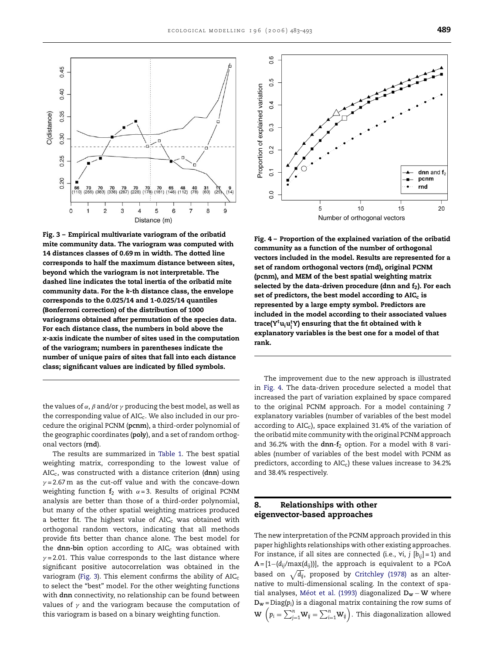<span id="page-6-0"></span>

**Fig. 3 – Empirical multivariate variogram of the oribatid mite community data. The variogram was computed with 14 distances classes of 0.69m in width. The dotted line corresponds to half the maximum distance between sites, beyond which the variogram is not interpretable. The dashed line indicates the total inertia of the oribatid mite community data. For the** *k***-th distance class, the envelope corresponds to the 0.025/14 and 1-0.025/14 quantiles (Bonferroni correction) of the distribution of 1000 variograms obtained after permutation of the species data. For each distance class, the numbers in bold above the** *x***-axis indicate the number of sites used in the computation of the variogram; numbers in parentheses indicate the number of unique pairs of sites that fall into each distance class; significant values are indicated by filled symbols.**

the values of  $\alpha$ ,  $\beta$  and/or  $\gamma$  producing the best model, as well as the corresponding value of  $AIC<sub>c</sub>$ . We also included in our procedure the original PCNM (**pcnm**), a third-order polynomial of the geographic coordinates (**poly**), and a set of random orthogonal vectors (**rnd**).

The results are summarized in [Table 1.](#page-7-0) The best spatial weighting matrix, corresponding to the lowest value of AICc, was constructed with a distance criterion (**dnn**) using  $y = 2.67$  m as the cut-off value and with the concave-down weighting function  $f_2$  with  $\alpha = 3$ . Results of original PCNM analysis are better than those of a third-order polynomial, but many of the other spatial weighting matrices produced a better fit. The highest value of  $AIC_c$  was obtained with orthogonal random vectors, indicating that all methods provide fits better than chance alone. The best model for the **dnn-bin** option according to AIC<sub>c</sub> was obtained with  $y = 2.01$ . This value corresponds to the last distance where significant positive autocorrelation was obtained in the variogram (Fig. 3). This element confirms the ability of  $AIC_c$ to select the "best" model. For the other weighting functions with **dnn** connectivity, no relationship can be found between values of  $\gamma$  and the variogram because the computation of this variogram is based on a binary weighting function.



**Fig. 4 – Proportion of the explained variation of the oribatid community as a function of the number of orthogonal vectors included in the model. Results are represented for a set of random orthogonal vectors (rnd), original PCNM (pcnm), and MEM of the best spatial weighting matrix** selected by the data-driven procedure (dnn and f<sub>2</sub>). For each set of predictors, the best model according to AIC<sub>c</sub> is **represented by a large empty symbol. Predictors are included in the model according to their associated values trace(Y<sup>t</sup> uiu<sup>t</sup> i Y) ensuring that the fit obtained with** *k* **explanatory variables is the best one for a model of that rank.**

The improvement due to the new approach is illustrated in Fig. 4. The data-driven procedure selected a model that increased the part of variation explained by space compared to the original PCNM approach. For a model containing 7 explanatory variables (number of variables of the best model according to  $AIC<sub>c</sub>$ ), space explained 31.4% of the variation of the oribatid mite community with the original PCNM approach and 36.2% with the **dnn**-**f**<sup>2</sup> option. For a model with 8 variables (number of variables of the best model with PCNM as predictors, according to  $AIC<sub>c</sub>$ ) these values increase to 34.2% and 38.4% respectively.

#### **8. Relationships with other eigenvector-based approaches**

The new interpretation of the PCNM approach provided in this paper highlights relationships with other existing approaches. For instance, if all sites are connected (i.e., ∀*i*, *j* [*bij*] = 1) and **A** = [1−(*dij*/max(*dij*))], the approach is equivalent to a PCoA based on  $\sqrt{d_{ij}}$ , proposed by [Critchley \(1978\)](#page-9-0) as an alternative to multi-dimensional scaling. In the context of spatial analyses, Méot et al. (1993) diagonalized **Dw** − **W** where  $D_w = Diag(p_i)$  is a diagonal matrix containing the row sums of  $\mathbf{W}\ \left( p_i = \sum_{j=1}^n \mathbf{W}_{ij} = \sum_{i=1}^n \mathbf{W}_{ij} \right)$ . This diagonalization allowed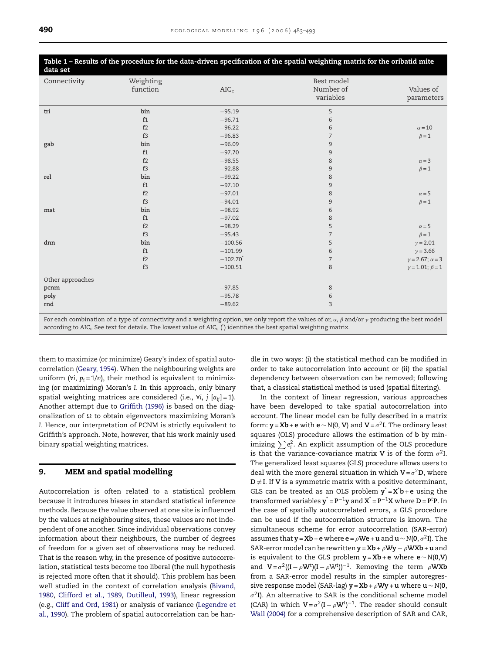<span id="page-7-0"></span>

| Table 1 – Results of the procedure for the data-driven specification of the spatial weighting matrix for the oribatid mite<br>data set |                       |                        |                                      |                            |
|----------------------------------------------------------------------------------------------------------------------------------------|-----------------------|------------------------|--------------------------------------|----------------------------|
| Connectivity                                                                                                                           | Weighting<br>function | AIC <sub>c</sub>       | Best model<br>Number of<br>variables | Values of<br>parameters    |
| tri                                                                                                                                    | bin                   | $-95.19$               | 5                                    |                            |
|                                                                                                                                        | f1                    | $-96.71$               | 6                                    |                            |
|                                                                                                                                        | f2                    | $-96.22$               | 6                                    | $\alpha = 10$              |
|                                                                                                                                        | f3                    | $-96.83$               | $\overline{7}$                       | $\beta = 1$                |
| gab                                                                                                                                    | bin                   | $-96.09$               | 9                                    |                            |
|                                                                                                                                        | f1                    | $-97.70$               | 9                                    |                            |
|                                                                                                                                        | f2                    | $-98.55$               | $\,8\,$                              | $\alpha = 3$               |
|                                                                                                                                        | f3                    | $-92.88$               | 9                                    | $\beta = 1$                |
| rel                                                                                                                                    | bin                   | $-99.22$               | 8                                    |                            |
|                                                                                                                                        | f1                    | $-97.10$               | 9                                    |                            |
|                                                                                                                                        | f2                    | $-97.01$               | 8                                    | $\alpha = 5$               |
|                                                                                                                                        | f3                    | $-94.01$               | 9                                    | $\beta = 1$                |
| mst                                                                                                                                    | bin                   | $-98.92$               | 6                                    |                            |
|                                                                                                                                        | f1                    | $-97.02$               | 8                                    |                            |
|                                                                                                                                        | f2                    | $-98.29$               | 5                                    | $\alpha = 5$               |
|                                                                                                                                        | f3                    | $-95.43$               | $\overline{7}$                       | $\beta = 1$                |
| dnn                                                                                                                                    | bin                   | $-100.56$              | 5                                    | $y = 2.01$                 |
|                                                                                                                                        | f1                    | $-101.99$              | 6                                    | $y = 3.66$                 |
|                                                                                                                                        | f2                    | $-102.70$ <sup>*</sup> | 7                                    | $y = 2.67$ ; $\alpha = 3$  |
|                                                                                                                                        | f3                    | $-100.51$              | 8                                    | $\gamma = 1.01; \beta = 1$ |
| Other approaches                                                                                                                       |                       |                        |                                      |                            |
| pcnm                                                                                                                                   |                       | $-97.85$               | 8                                    |                            |
| poly                                                                                                                                   |                       | $-95.78$               | 6                                    |                            |
| rnd                                                                                                                                    |                       | $-89.62$               | 3                                    |                            |

For each combination of a type of connectivity and a weighting option, we only report the values of or,  $\alpha$ ,  $\beta$  and/or  $\gamma$  producing the best model according to AIC<sub>c</sub> See text for details. The lowest value of AIC<sub>c</sub> ( $\dot{}$ ) identifies the best spatial weighting matrix.

them to maximize (or minimize) Geary's index of spatial autocorrelation ([Geary, 1954\).](#page-9-0) When the neighbouring weights are uniform ( $\forall i, p_i = 1/n$ ), their method is equivalent to minimizing (or maximizing) Moran's *I*. In this approach, only binary spatial weighting matrices are considered (i.e., ∀*i*, *j* [*aij*] = 1). Another attempt due to [Griffith \(1996\)](#page-9-0) is based on the diagonalization of  $\Omega$  to obtain eigenvectors maximizing Moran's *I*. Hence, our interpretation of PCNM is strictly equivalent to Griffith's approach. Note, however, that his work mainly used binary spatial weighting matrices.

## **9. MEM and spatial modelling**

Autocorrelation is often related to a statistical problem because it introduces biases in standard statistical inference methods. Because the value observed at one site is influenced by the values at neighbouring sites, these values are not independent of one another. Since individual observations convey information about their neighbours, the number of degrees of freedom for a given set of observations may be reduced. That is the reason why, in the presence of positive autocorrelation, statistical tests become too liberal (the null hypothesis is rejected more often that it should). This problem has been well studied in the context of correlation analysis [\(Bivand,](#page-9-0) [1980,](#page-9-0) [Clifford et al., 1989,](#page-9-0) [Dutilleul, 1993\),](#page-9-0) linear regression (e.g., [Cliff and Ord, 1981\)](#page-9-0) or analysis of variance ([Legendre et](#page-10-0) [al., 1990\).](#page-10-0) The problem of spatial autocorrelation can be handle in two ways: (i) the statistical method can be modified in order to take autocorrelation into account or (ii) the spatial dependency between observation can be removed; following that, a classical statistical method is used (spatial filtering).

In the context of linear regression, various approaches have been developed to take spatial autocorrelation into account. The linear model can be fully described in a matrix form: **y** = **Xb** + **e** with **e** ~  $N(0, V)$  and  $V = \sigma^2 I$ . The ordinary least squares (OLS) procedure allows the estimation of **b** by minimizing  $\sum\limits_{}^{}e_{\mathrm{i}}^{2}.$  An explicit assumption of the OLS procedure is that the variance-covariance matrix **V** is of the form  $\sigma^2 I$ . The generalized least squares (GLS) procedure allows users to deal with the more general situation in which  $V = \sigma^2 D$ , where  $D \neq I$ . If **V** is a symmetric matrix with a positive determinant, GLS can be treated as an OLS problem  $y^* = X^*b + e$  using the  $\tan{t}$  transformed variables  $y^* = P^{-1}y$  and  $X^* = P^{-1}X$  where  $D = P^tP$ . In the case of spatially autocorrelated errors, a GLS procedure can be used if the autocorrelation structure is known. The simultaneous scheme for error autocorrelation (SAR-error) assumes that **y** = **Xb** + **e** where **e** =  $\rho$ **We** + **u** and **u** ∼  $N(0, \sigma^2 I)$ . The SAR-error model can be rewritten  $y = Xb + \rho Wy - \rho Wxb + u$  and is equivalent to the GLS problem **y** = **Xb** + **e** where **e** ∼ *N*(**0**,**V**) and  $V = \sigma^2((I - \rho W^t)(I - \rho W^t))^{-1}$ . Removing the term  $\rho$ WXb from a SAR-error model results in the simpler autoregressive response model (SAR-lag)  $\mathbf{y} = \mathbf{X}\mathbf{b} + \rho \mathbf{W}\mathbf{y} + \mathbf{u}$  where  $\mathbf{u} \sim \mathbf{N}(\mathbf{0}, \mathbf{v})$  $\sigma^2$ **I**). An alternative to SAR is the conditional scheme model (CAR) in which  $V = \sigma^2 (I - \rho W^t)^{-1}$ . The reader should consult [Wall \(2004\)](#page-10-0) for a comprehensive description of SAR and CAR,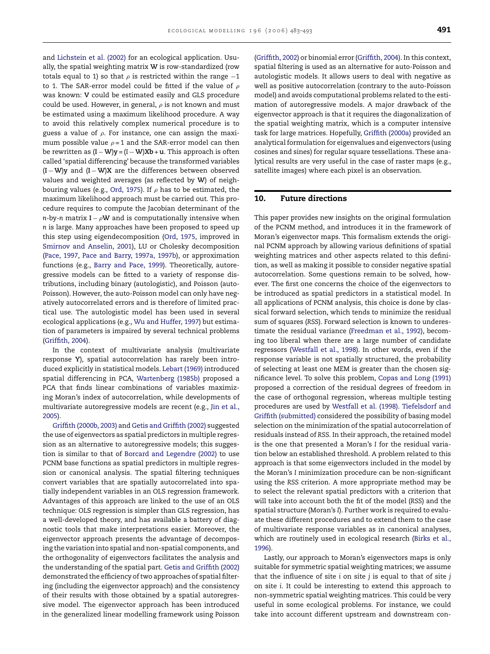and [Lichstein et al. \(2002\)](#page-10-0) for an ecological application. Usually, the spatial weighting matrix **W** is row-standardized (row totals equal to 1) so that  $\rho$  is restricted within the range −1 to 1. The SAR-error model could be fitted if the value of  $\rho$ was known: **V** could be estimated easily and GLS procedure could be used. However, in general,  $\rho$  is not known and must be estimated using a maximum likelihood procedure. A way to avoid this relatively complex numerical procedure is to guess a value of  $\rho$ . For instance, one can assign the maximum possible value  $\rho = 1$  and the SAR-error model can then be rewritten as (**I** −**W**)**y** = (I −**W**)**Xb** +**u**. This approach is often called 'spatial differencing' because the transformed variables (**I** −**W**)**y** and (**I** −**W**)**X** are the differences between observed values and weighted averages (as reflected by **W**) of neigh-bouring values (e.g., [Ord, 1975\).](#page-10-0) If  $\rho$  has to be estimated, the maximum likelihood approach must be carried out. This procedure requires to compute the Jacobian determinant of the *n*-by-*n* matrix **I** −  $\rho$ **W** and is computationally intensive when *n* is large. Many approaches have been proposed to speed up this step using eigendecomposition ([Ord, 1975,](#page-10-0) improved in [Smirnov and Anselin, 2001\),](#page-10-0) LU or Cholesky decomposition [\(Pace, 1997,](#page-10-0) [Pace and Barry, 1997a, 1997b\),](#page-10-0) or approximation functions (e.g., [Barry and Pace, 1999\).](#page-9-0) Theoretically, autoregressive models can be fitted to a variety of response distributions, including binary (autologistic), and Poisson (auto-Poisson). However, the auto-Poisson model can only have negatively autocorrelated errors and is therefore of limited practical use. The autologistic model has been used in several ecological applications (e.g., [Wu and Huffer, 1997\) b](#page-10-0)ut estimation of parameters is impaired by several technical problems [\(Griffith, 2004\).](#page-9-0)

In the context of multivariate analysis (multivariate response **Y**), spatial autocorrelation has rarely been introduced explicitly in statistical models. [Lebart \(1969\)](#page-10-0) introduced spatial differencing in PCA, [Wartenberg \(1985b\)](#page-10-0) proposed a PCA that finds linear combinations of variables maximizing Moran's index of autocorrelation, while developments of multivariate autoregressive models are recent (e.g., [Jin et al.,](#page-10-0) [2005\).](#page-10-0)

[Griffith \(2000b, 2003\)](#page-9-0) and [Getis and Griffith \(2002\)](#page-9-0) suggested the use of eigenvectors as spatial predictors in multiple regression as an alternative to autoregressive models; this suggestion is similar to that of [Borcard and Legendre \(2002\)](#page-9-0) to use PCNM base functions as spatial predictors in multiple regression or canonical analysis. The spatial filtering techniques convert variables that are spatially autocorrelated into spatially independent variables in an OLS regression framework. Advantages of this approach are linked to the use of an OLS technique: OLS regression is simpler than GLS regression, has a well-developed theory, and has available a battery of diagnostic tools that make interpretations easier. Moreover, the eigenvector approach presents the advantage of decomposing the variation into spatial and non-spatial components, and the orthogonality of eigenvectors facilitates the analysis and the understanding of the spatial part. [Getis and Griffith \(2002\)](#page-9-0) demonstrated the efficiency of two approaches of spatial filtering (including the eigenvector approach) and the consistency of their results with those obtained by a spatial autoregressive model. The eigenvector approach has been introduced in the generalized linear modelling framework using Poisson

([Griffith, 2002\) o](#page-9-0)r binomial error ([Griffith, 2004\).](#page-9-0) In this context, spatial filtering is used as an alternative for auto-Poisson and autologistic models. It allows users to deal with negative as well as positive autocorrelation (contrary to the auto-Poisson model) and avoids computational problems related to the estimation of autoregressive models. A major drawback of the eigenvector approach is that it requires the diagonalization of the spatial weighting matrix, which is a computer intensive task for large matrices. Hopefully, [Griffith \(2000a\)](#page-9-0) provided an analytical formulation for eigenvalues and eigenvectors (using cosines and sines) for regular square tessellations. These analytical results are very useful in the case of raster maps (e.g., satellite images) where each pixel is an observation.

#### **10. Future directions**

This paper provides new insights on the original formulation of the PCNM method, and introduces it in the framework of Moran's eigenvector maps. This formalism extends the original PCNM approach by allowing various definitions of spatial weighting matrices and other aspects related to this definition, as well as making it possible to consider negative spatial autocorrelation. Some questions remain to be solved, however. The first one concerns the choice of the eigenvectors to be introduced as spatial predictors in a statistical model. In all applications of PCNM analysis, this choice is done by classical forward selection, which tends to minimize the residual sum of squares (*RSS*). Forward selection is known to underestimate the residual variance ([Freedman et al., 1992\),](#page-9-0) becoming too liberal when there are a large number of candidate regressors ([Westfall et al., 1998\).](#page-10-0) In other words, even if the response variable is not spatially structured, the probability of selecting at least one MEM is greater than the chosen significance level. To solve this problem, [Copas and Long \(1991\)](#page-9-0) proposed a correction of the residual degrees of freedom in the case of orthogonal regression, whereas multiple testing procedures are used by [Westfall et al. \(1998\).](#page-10-0) [Tiefelsdorf and](#page-10-0) [Griffith \(submitted\)](#page-10-0) considered the possibility of basing model selection on the minimization of the spatial autocorrelation of residuals instead of *RSS*. In their approach, the retained model is the one that presented a Moran's *I* for the residual variation below an established threshold. A problem related to this approach is that some eigenvectors included in the model by the Moran's *I* minimization procedure can be non-significant using the *RSS* criterion. A more appropriate method may be to select the relevant spatial predictors with a criterion that will take into account both the fit of the model (*RSS*) and the spatial structure (Moran's *I*). Further work is required to evaluate these different procedures and to extend them to the case of multivariate response variables as in canonical analyses, which are routinely used in ecological research [\(Birks et al.,](#page-9-0) [1996\).](#page-9-0)

Lastly, our approach to Moran's eigenvectors maps is only suitable for symmetric spatial weighting matrices; we assume that the influence of site *i* on site *j* is equal to that of site *j* on site *i*. It could be interesting to extend this approach to non-symmetric spatial weighting matrices. This could be very useful in some ecological problems. For instance, we could take into account different upstream and downstream con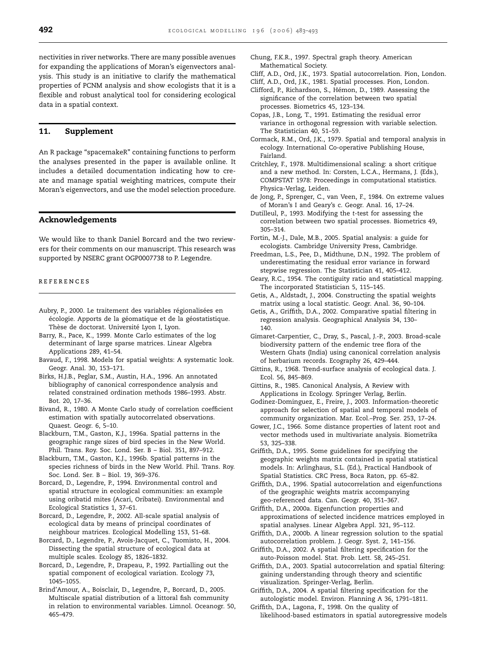<span id="page-9-0"></span>nectivities in river networks. There are many possible avenues for expanding the applications of Moran's eigenvectors analysis. This study is an initiative to clarify the mathematical properties of PCNM analysis and show ecologists that it is a flexible and robust analytical tool for considering ecological data in a spatial context.

#### **11. Supplement**

An R package "spacemakeR" containing functions to perform the analyses presented in the paper is available online. It includes a detailed documentation indicating how to create and manage spatial weighting matrices, compute their Moran's eigenvectors, and use the model selection procedure.

#### **Acknowledgements**

We would like to thank Daniel Borcard and the two reviewers for their comments on our manuscript. This research was supported by NSERC grant OGP0007738 to P. Legendre.

#### references

- Aubry, P., 2000. Le traitement des variables régionalisées en écologie. Apports de la géomatique et de la géostatistique. Thèse de doctorat. Université Lyon I, Lyon.
- Barry, R., Pace, K., 1999. Monte Carlo estimates of the log determinant of large sparse matrices. Linear Algebra Applications 289, 41–54.
- Bavaud, F., 1998. Models for spatial weights: A systematic look. Geogr. Anal. 30, 153–171.
- Birks, H.J.B., Peglar, S.M., Austin, H.A., 1996. An annotated bibliography of canonical correspondence analysis and related constrained ordination methods 1986–1993. Abstr. Bot. 20, 17–36.
- Bivand, R., 1980. A Monte Carlo study of correlation coefficient estimation with spatially autocorrelated observations. Quaest. Geogr. 6, 5–10.
- Blackburn, T.M., Gaston, K.J., 1996a. Spatial patterns in the geographic range sizes of bird species in the New World. Phil. Trans. Roy. Soc. Lond. Ser. B – Biol. 351, 897–912.
- Blackburn, T.M., Gaston, K.J., 1996b. Spatial patterns in the species richness of birds in the New World. Phil. Trans. Roy. Soc. Lond. Ser. B – Biol. 19, 369–376.
- Borcard, D., Legendre, P., 1994. Environmental control and spatial structure in ecological communities: an example using oribatid mites (Acari, Oribatei). Environmental and Ecological Statistics 1, 37–61.
- Borcard, D., Legendre, P., 2002. All-scale spatial analysis of ecological data by means of principal coordinates of neighbour matrices. Ecological Modelling 153, 51–68.
- Borcard, D., Legendre, P., Avois-Jacquet, C., Tuomisto, H., 2004. Dissecting the spatial structure of ecological data at multiple scales. Ecology 85, 1826–1832.
- Borcard, D., Legendre, P., Drapeau, P., 1992. Partialling out the spatial component of ecological variation. Ecology 73, 1045–1055.
- Brind'Amour, A., Boisclair, D., Legendre, P., Borcard, D., 2005. Multiscale spatial distribution of a littoral fish community in relation to environmental variables. Limnol. Oceanogr. 50, 465–479.
- Chung, F.K.R., 1997. Spectral graph theory. American Mathematical Society.
- Cliff, A.D., Ord, J.K., 1973. Spatial autocorrelation. Pion, London.
- Cliff, A.D., Ord, J.K., 1981. Spatial processes. Pion, London.
- Clifford, P., Richardson, S., Hémon, D., 1989. Assessing the significance of the correlation between two spatial processes. Biometrics 45, 123–134.
- Copas, J.B., Long, T., 1991. Estimating the residual error variance in orthogonal regression with variable selection. The Statistician 40, 51–59.

Cormack, R.M., Ord, J.K., 1979. Spatial and temporal analysis in ecology. International Co-operative Publishing House, Fairland.

- Critchley, F., 1978. Multidimensional scaling: a short critique and a new method. In: Corsten, L.C.A., Hermans, J. (Eds.), COMPSTAT 1978: Proceedings in computational statistics. Physica-Verlag, Leiden.
- de Jong, P., Sprenger, C., van Veen, F., 1984. On extreme values of Moran's I and Geary's c. Geogr. Anal. 16, 17–24.
- Dutilleul, P., 1993. Modifying the *t*-test for assessing the correlation between two spatial processes. Biometrics 49, 305–314.
- Fortin, M.-J., Dale, M.B., 2005. Spatial analysis: a guide for ecologists. Cambridge University Press, Cambridge.
- Freedman, L.S., Pee, D., Midthune, D.N., 1992. The problem of underestimating the residual error variance in forward stepwise regression. The Statistician 41, 405–412.
- Geary, R.C., 1954. The contiguity ratio and statistical mapping. The incorporated Statistician 5, 115–145.
- Getis, A., Aldstadt, J., 2004. Constructing the spatial weights matrix using a local statistic. Geogr. Anal. 36, 90–104.
- Getis, A., Griffith, D.A., 2002. Comparative spatial filtering in regression analysis. Geographical Analysis 34, 130– 140.

Gimaret-Carpentier, C., Dray, S., Pascal, J.-P., 2003. Broad-scale biodiversity pattern of the endemic tree flora of the Western Ghats (India) using canonical correlation analysis of herbarium records. Ecography 26, 429–444.

- Gittins, R., 1968. Trend-surface analysis of ecological data. J. Ecol. 56, 845–869.
- Gittins, R., 1985. Canonical Analysis, A Review with Applications in Ecology. Springer Verlag, Berlin.
- Godinez-Dominguez, E., Freire, J., 2003. Information-theoretic approach for selection of spatial and temporal models of community organization. Mar. Ecol.–Prog. Ser. 253, 17–24.
- Gower, J.C., 1966. Some distance properties of latent root and vector methods used in multivariate analysis. Biometrika 53, 325–338.
- Griffith, D.A., 1995. Some guidelines for specifying the geographic weights matrix contained in spatial statistical models. In: Arlinghaus, S.L. (Ed.), Practical Handbook of Spatial Statistics. CRC Press, Boca Raton, pp. 65–82.
- Griffith, D.A., 1996. Spatial autocorrelation and eigenfunctions of the geographic weights matrix accompanying geo-referenced data. Can. Geogr. 40, 351–367.

Griffith, D.A., 2000a. Eigenfunction properties and approximations of selected incidence matrices employed in spatial analyses. Linear Algebra Appl. 321, 95–112.

- Griffith, D.A., 2000b. A linear regression solution to the spatial autocorrelation problem. J. Geogr. Syst. 2, 141–156.
- Griffith, D.A., 2002. A spatial filtering specification for the auto-Poisson model. Stat. Prob. Lett. 58, 245–251.
- Griffith, D.A., 2003. Spatial autocorrelation and spatial filtering: gaining understanding through theory and scientific visualization. Springer-Verlag, Berlin.
- Griffith, D.A., 2004. A spatial filtering specification for the autologistic model. Environ. Planning A 36, 1791–1811.
- Griffith, D.A., Lagona, F., 1998. On the quality of likelihood-based estimators in spatial autoregressive models